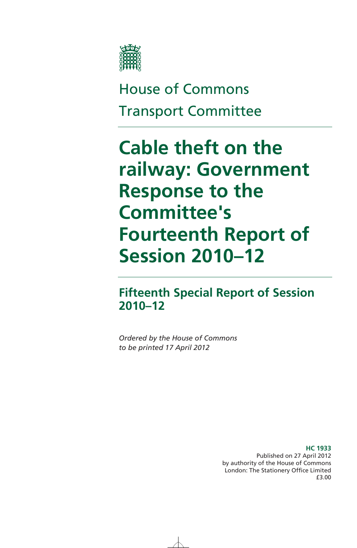

# House of Commons Transport Committee

# **Cable theft on the railway: Government Response to the Committee's Fourteenth Report of Session 2010–12**

# **Fifteenth Special Report of Session 2010–12**

*Ordered by the House of Commons to be printed 17 April 2012* 

> **HC 1933**  Published on 27 April 2012 by authority of the House of Commons London: The Stationery Office Limited £3.00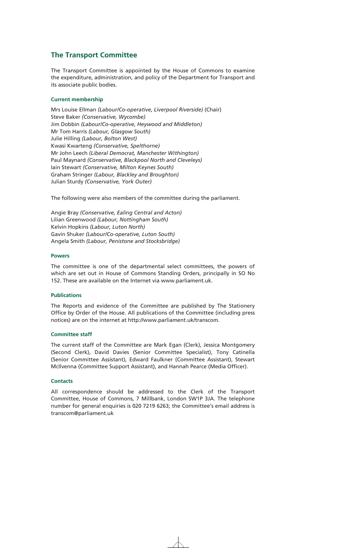## **The Transport Committee**

The Transport Committee is appointed by the House of Commons to examine the expenditure, administration, and policy of the Department for Transport and its associate public bodies.

#### **Current membership**

Mrs Louise Ellman *(Labour/Co-operative, Liverpool Riverside)* (Chair) Steve Baker *(Conservative, Wycombe)* Jim Dobbin *(Labour/Co-operative, Heywood and Middleton)* Mr Tom Harris *(Labour, Glasgow South)* Julie Hilling *(Labour, Bolton West)* Kwasi Kwarteng *(Conservative, Spelthorne)* Mr John Leech *(Liberal Democrat, Manchester Withington)* Paul Maynard *(Conservative, Blackpool North and Cleveleys)* Iain Stewart *(Conservative, Milton Keynes South)* Graham Stringer *(Labour, Blackley and Broughton)* Julian Sturdy *(Conservative, York Outer)*

The following were also members of the committee during the parliament.

Angie Bray *(Conservative, Ealing Central and Acton)* Lilian Greenwood *(Labour, Nottingham South)* Kelvin Hopkins *(Labour, Luton North)* Gavin Shuker *(Labour/Co-operative, Luton South)* Angela Smith *(Labour, Penistone and Stocksbridge)* 

#### **Powers**

The committee is one of the departmental select committees, the powers of which are set out in House of Commons Standing Orders, principally in SO No 152. These are available on the Internet via www.parliament.uk.

#### **Publications**

The Reports and evidence of the Committee are published by The Stationery Office by Order of the House. All publications of the Committee (including press notices) are on the internet at http://www.parliament.uk/transcom.

### **Committee staff**

The current staff of the Committee are Mark Egan (Clerk), Jessica Montgomery (Second Clerk), David Davies (Senior Committee Specialist), Tony Catinella (Senior Committee Assistant), Edward Faulkner (Committee Assistant), Stewart McIlvenna (Committee Support Assistant), and Hannah Pearce (Media Officer).

#### **Contacts**

All correspondence should be addressed to the Clerk of the Transport Committee, House of Commons, 7 Millbank, London SW1P 3JA. The telephone number for general enquiries is 020 7219 6263; the Committee's email address is transcom@parliament.uk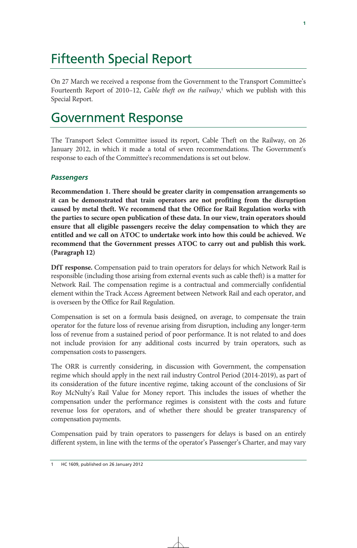# Fifteenth Special Report

On 27 March we received a response from the Government to the Transport Committee's Fourteenth Report of 2010–12, *Cable theft on the railway*,<sup>1</sup> which we publish with this Special Report.

# Government Response

The Transport Select Committee issued its report, Cable Theft on the Railway, on 26 January 2012, in which it made a total of seven recommendations. The Government's response to each of the Committee's recommendations is set out below.

# *Passengers*

**Recommendation 1. There should be greater clarity in compensation arrangements so it can be demonstrated that train operators are not profiting from the disruption caused by metal theft. We recommend that the Office for Rail Regulation works with the parties to secure open publication of these data. In our view, train operators should ensure that all eligible passengers receive the delay compensation to which they are entitled and we call on ATOC to undertake work into how this could be achieved. We recommend that the Government presses ATOC to carry out and publish this work. (Paragraph 12)** 

**DfT response.** Compensation paid to train operators for delays for which Network Rail is responsible (including those arising from external events such as cable theft) is a matter for Network Rail. The compensation regime is a contractual and commercially confidential element within the Track Access Agreement between Network Rail and each operator, and is overseen by the Office for Rail Regulation.

Compensation is set on a formula basis designed, on average, to compensate the train operator for the future loss of revenue arising from disruption, including any longer-term loss of revenue from a sustained period of poor performance. It is not related to and does not include provision for any additional costs incurred by train operators, such as compensation costs to passengers.

The ORR is currently considering, in discussion with Government, the compensation regime which should apply in the next rail industry Control Period (2014-2019), as part of its consideration of the future incentive regime, taking account of the conclusions of Sir Roy McNulty's Rail Value for Money report. This includes the issues of whether the compensation under the performance regimes is consistent with the costs and future revenue loss for operators, and of whether there should be greater transparency of compensation payments.

Compensation paid by train operators to passengers for delays is based on an entirely different system, in line with the terms of the operator's Passenger's Charter, and may vary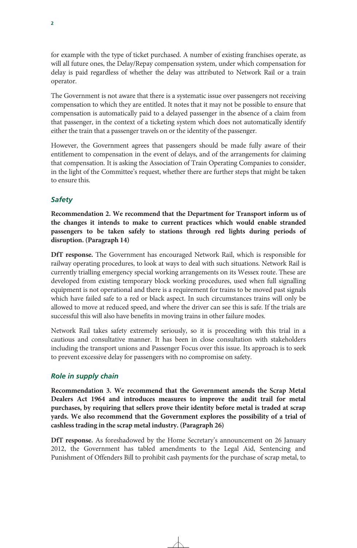for example with the type of ticket purchased. A number of existing franchises operate, as will all future ones, the Delay/Repay compensation system, under which compensation for delay is paid regardless of whether the delay was attributed to Network Rail or a train operator.

The Government is not aware that there is a systematic issue over passengers not receiving compensation to which they are entitled. It notes that it may not be possible to ensure that compensation is automatically paid to a delayed passenger in the absence of a claim from that passenger, in the context of a ticketing system which does not automatically identify either the train that a passenger travels on or the identity of the passenger.

However, the Government agrees that passengers should be made fully aware of their entitlement to compensation in the event of delays, and of the arrangements for claiming that compensation. It is asking the Association of Train Operating Companies to consider, in the light of the Committee's request, whether there are further steps that might be taken to ensure this.

# *Safety*

**Recommendation 2. We recommend that the Department for Transport inform us of the changes it intends to make to current practices which would enable stranded passengers to be taken safely to stations through red lights during periods of disruption. (Paragraph 14)** 

**DfT response.** The Government has encouraged Network Rail, which is responsible for railway operating procedures, to look at ways to deal with such situations. Network Rail is currently trialling emergency special working arrangements on its Wessex route. These are developed from existing temporary block working procedures, used when full signalling equipment is not operational and there is a requirement for trains to be moved past signals which have failed safe to a red or black aspect. In such circumstances trains will only be allowed to move at reduced speed, and where the driver can see this is safe. If the trials are successful this will also have benefits in moving trains in other failure modes.

Network Rail takes safety extremely seriously, so it is proceeding with this trial in a cautious and consultative manner. It has been in close consultation with stakeholders including the transport unions and Passenger Focus over this issue. Its approach is to seek to prevent excessive delay for passengers with no compromise on safety.

# *Role in supply chain*

**Recommendation 3. We recommend that the Government amends the Scrap Metal Dealers Act 1964 and introduces measures to improve the audit trail for metal purchases, by requiring that sellers prove their identity before metal is traded at scrap yards. We also recommend that the Government explores the possibility of a trial of cashless trading in the scrap metal industry. (Paragraph 26)** 

**DfT response.** As foreshadowed by the Home Secretary's announcement on 26 January 2012, the Government has tabled amendments to the Legal Aid, Sentencing and Punishment of Offenders Bill to prohibit cash payments for the purchase of scrap metal, to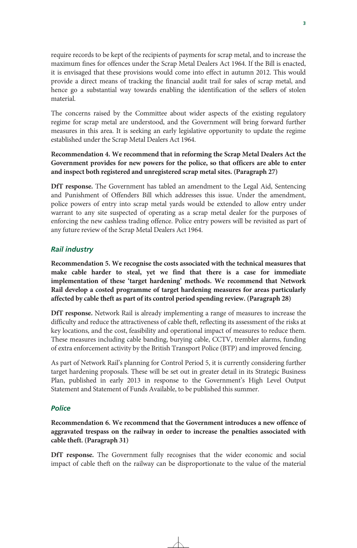require records to be kept of the recipients of payments for scrap metal, and to increase the maximum fines for offences under the Scrap Metal Dealers Act 1964. If the Bill is enacted, it is envisaged that these provisions would come into effect in autumn 2012. This would provide a direct means of tracking the financial audit trail for sales of scrap metal, and hence go a substantial way towards enabling the identification of the sellers of stolen material.

The concerns raised by the Committee about wider aspects of the existing regulatory regime for scrap metal are understood, and the Government will bring forward further measures in this area. It is seeking an early legislative opportunity to update the regime established under the Scrap Metal Dealers Act 1964.

# **Recommendation 4. We recommend that in reforming the Scrap Metal Dealers Act the Government provides for new powers for the police, so that officers are able to enter and inspect both registered and unregistered scrap metal sites. (Paragraph 27)**

**DfT response.** The Government has tabled an amendment to the Legal Aid, Sentencing and Punishment of Offenders Bill which addresses this issue. Under the amendment, police powers of entry into scrap metal yards would be extended to allow entry under warrant to any site suspected of operating as a scrap metal dealer for the purposes of enforcing the new cashless trading offence. Police entry powers will be revisited as part of any future review of the Scrap Metal Dealers Act 1964.

# *Rail industry*

**Recommendation 5. We recognise the costs associated with the technical measures that make cable harder to steal, yet we find that there is a case for immediate implementation of these 'target hardening' methods. We recommend that Network Rail develop a costed programme of target hardening measures for areas particularly affected by cable theft as part of its control period spending review. (Paragraph 28)** 

**DfT response.** Network Rail is already implementing a range of measures to increase the difficulty and reduce the attractiveness of cable theft, reflecting its assessment of the risks at key locations, and the cost, feasibility and operational impact of measures to reduce them. These measures including cable banding, burying cable, CCTV, trembler alarms, funding of extra enforcement activity by the British Transport Police (BTP) and improved fencing.

As part of Network Rail's planning for Control Period 5, it is currently considering further target hardening proposals. These will be set out in greater detail in its Strategic Business Plan, published in early 2013 in response to the Government's High Level Output Statement and Statement of Funds Available, to be published this summer.

# *Police*

**Recommendation 6. We recommend that the Government introduces a new offence of aggravated trespass on the railway in order to increase the penalties associated with cable theft. (Paragraph 31)** 

**DfT response.** The Government fully recognises that the wider economic and social impact of cable theft on the railway can be disproportionate to the value of the material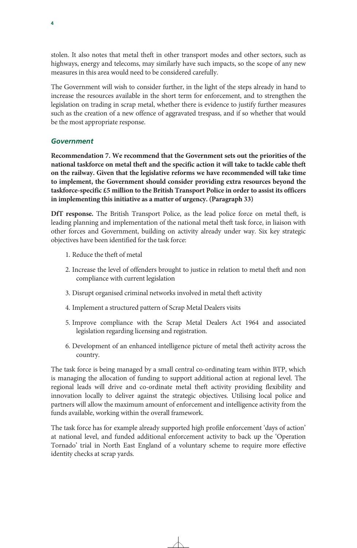stolen. It also notes that metal theft in other transport modes and other sectors, such as highways, energy and telecoms, may similarly have such impacts, so the scope of any new measures in this area would need to be considered carefully.

The Government will wish to consider further, in the light of the steps already in hand to increase the resources available in the short term for enforcement, and to strengthen the legislation on trading in scrap metal, whether there is evidence to justify further measures such as the creation of a new offence of aggravated trespass, and if so whether that would be the most appropriate response.

# *Government*

**Recommendation 7. We recommend that the Government sets out the priorities of the national taskforce on metal theft and the specific action it will take to tackle cable theft on the railway. Given that the legislative reforms we have recommended will take time to implement, the Government should consider providing extra resources beyond the taskforce-specific £5 million to the British Transport Police in order to assist its officers in implementing this initiative as a matter of urgency. (Paragraph 33)** 

**DfT response.** The British Transport Police, as the lead police force on metal theft, is leading planning and implementation of the national metal theft task force, in liaison with other forces and Government, building on activity already under way. Six key strategic objectives have been identified for the task force:

- 1. Reduce the theft of metal
- 2. Increase the level of offenders brought to justice in relation to metal theft and non compliance with current legislation
- 3. Disrupt organised criminal networks involved in metal theft activity
- 4. Implement a structured pattern of Scrap Metal Dealers visits
- 5. Improve compliance with the Scrap Metal Dealers Act 1964 and associated legislation regarding licensing and registration.
- 6. Development of an enhanced intelligence picture of metal theft activity across the country.

The task force is being managed by a small central co-ordinating team within BTP, which is managing the allocation of funding to support additional action at regional level. The regional leads will drive and co-ordinate metal theft activity providing flexibility and innovation locally to deliver against the strategic objectives. Utilising local police and partners will allow the maximum amount of enforcement and intelligence activity from the funds available, working within the overall framework.

The task force has for example already supported high profile enforcement 'days of action' at national level, and funded additional enforcement activity to back up the 'Operation Tornado' trial in North East England of a voluntary scheme to require more effective identity checks at scrap yards.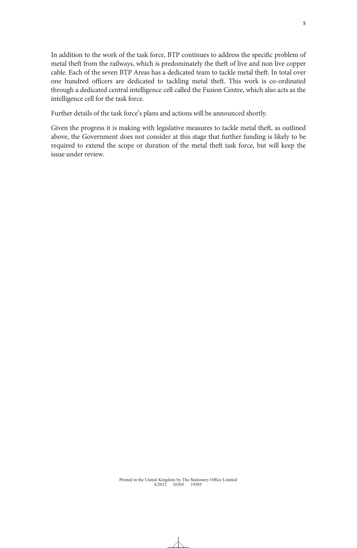In addition to the work of the task force, BTP continues to address the specific problem of metal theft from the railways, which is predominately the theft of live and non live copper cable. Each of the seven BTP Areas has a dedicated team to tackle metal theft. In total over one hundred officers are dedicated to tackling metal theft. This work is co-ordinated through a dedicated central intelligence cell called the Fusion Centre, which also acts as the intelligence cell for the task force.

Further details of the task force's plans and actions will be announced shortly.

Given the progress it is making with legislative measures to tackle metal theft, as outlined above, the Government does not consider at this stage that further funding is likely to be required to extend the scope or duration of the metal theft task force, but will keep the issue under review.